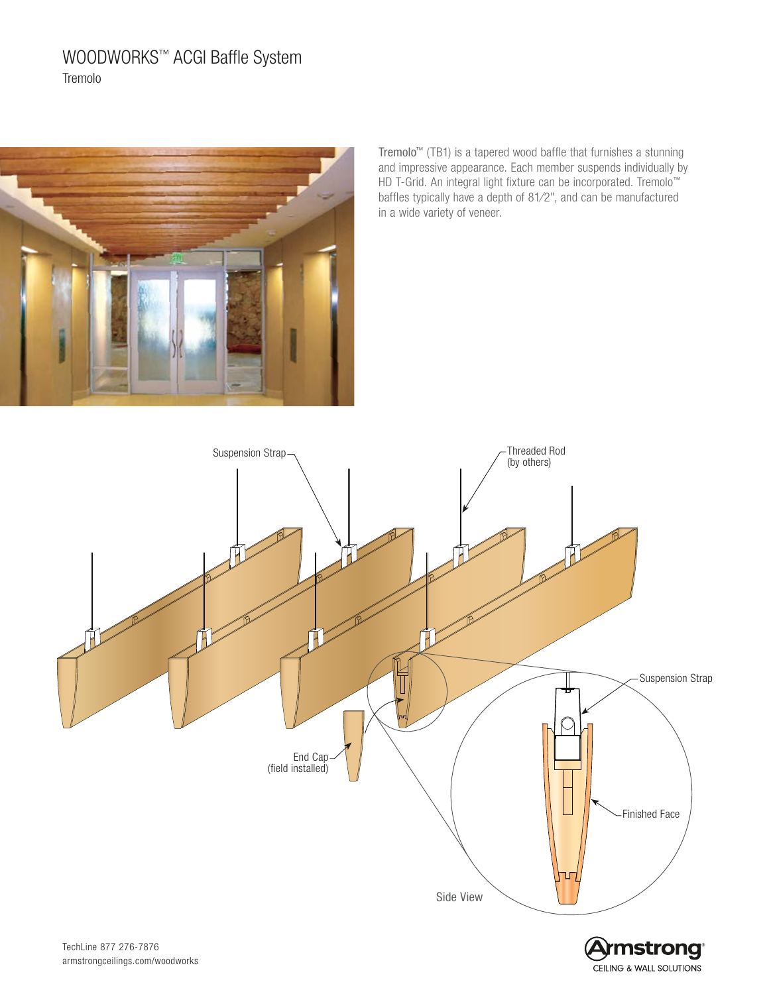# WOODWORKS™ ACGI Baffle System Tremolo



Tremolo™ (TB1) is a tapered wood baffle that furnishes a stunning and impressive appearance. Each member suspends individually by HD T-Grid. An integral light fixture can be incorporated. Tremolo™ baffles typically have a depth of 81⁄2", and can be manufactured in a wide variety of veneer.